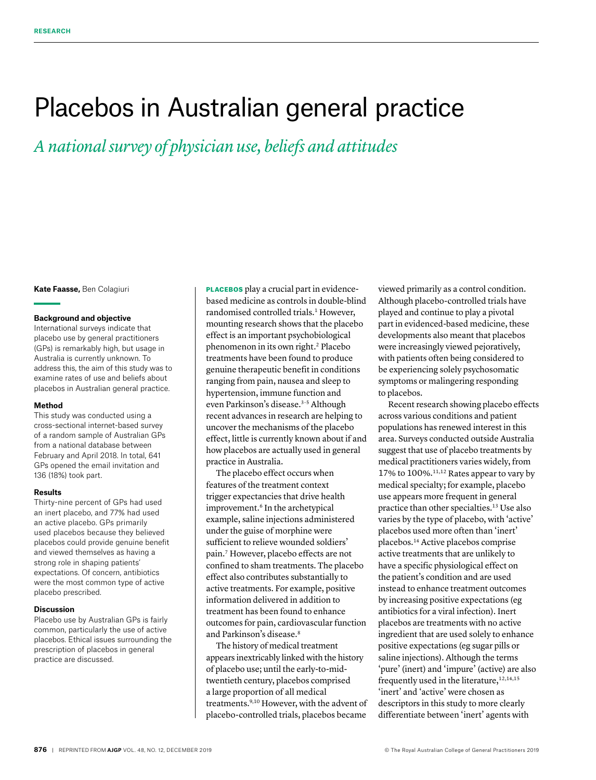# Placebos in Australian general practice

*A national survey of physician use, beliefs and attitudes*

**Kate Faasse,** Ben Colagiuri

## **Background and objective**

International surveys indicate that placebo use by general practitioners (GPs) is remarkably high, but usage in Australia is currently unknown. To address this, the aim of this study was to examine rates of use and beliefs about placebos in Australian general practice.

## **Method**

This study was conducted using a cross-sectional internet-based survey of a random sample of Australian GPs from a national database between February and April 2018. In total, 641 GPs opened the email invitation and 136 (18%) took part.

## **Results**

Thirty-nine percent of GPs had used an inert placebo, and 77% had used an active placebo. GPs primarily used placebos because they believed placebos could provide genuine benefit and viewed themselves as having a strong role in shaping patients' expectations. Of concern, antibiotics were the most common type of active placebo prescribed.

## **Discussion**

Placebo use by Australian GPs is fairly common, particularly the use of active placebos. Ethical issues surrounding the prescription of placebos in general practice are discussed.

PLACEBOS play a crucial part in evidencebased medicine as controls in double-blind randomised controlled trials.<sup>1</sup> However, mounting research shows that the placebo effect is an important psychobiological phenomenon in its own right.2 Placebo treatments have been found to produce genuine therapeutic benefit in conditions ranging from pain, nausea and sleep to hypertension, immune function and even Parkinson's disease.<sup>3-5</sup> Although recent advances in research are helping to uncover the mechanisms of the placebo effect, little is currently known about if and how placebos are actually used in general practice in Australia.

The placebo effect occurs when features of the treatment context trigger expectancies that drive health improvement.<sup>6</sup> In the archetypical example, saline injections administered under the guise of morphine were sufficient to relieve wounded soldiers' pain.7 However, placebo effects are not confined to sham treatments. The placebo effect also contributes substantially to active treatments. For example, positive information delivered in addition to treatment has been found to enhance outcomes for pain, cardiovascular function and Parkinson's disease.<sup>8</sup>

The history of medical treatment appears inextricably linked with the history of placebo use; until the early-to-midtwentieth century, placebos comprised a large proportion of all medical treatments.<sup>9,10</sup> However, with the advent of placebo-controlled trials, placebos became

viewed primarily as a control condition. Although placebo-controlled trials have played and continue to play a pivotal part in evidenced-based medicine, these developments also meant that placebos were increasingly viewed pejoratively, with patients often being considered to be experiencing solely psychosomatic symptoms or malingering responding to placebos.

Recent research showing placebo effects across various conditions and patient populations has renewed interest in this area. Surveys conducted outside Australia suggest that use of placebo treatments by medical practitioners varies widely, from 17% to 100%.11,12 Rates appear to vary by medical specialty; for example, placebo use appears more frequent in general practice than other specialties.13 Use also varies by the type of placebo, with 'active' placebos used more often than 'inert' placebos.14 Active placebos comprise active treatments that are unlikely to have a specific physiological effect on the patient's condition and are used instead to enhance treatment outcomes by increasing positive expectations (eg antibiotics for a viral infection). Inert placebos are treatments with no active ingredient that are used solely to enhance positive expectations (eg sugar pills or saline injections). Although the terms 'pure' (inert) and 'impure' (active) are also frequently used in the literature, $12,14,15$ 'inert' and 'active' were chosen as descriptors in this study to more clearly differentiate between 'inert' agents with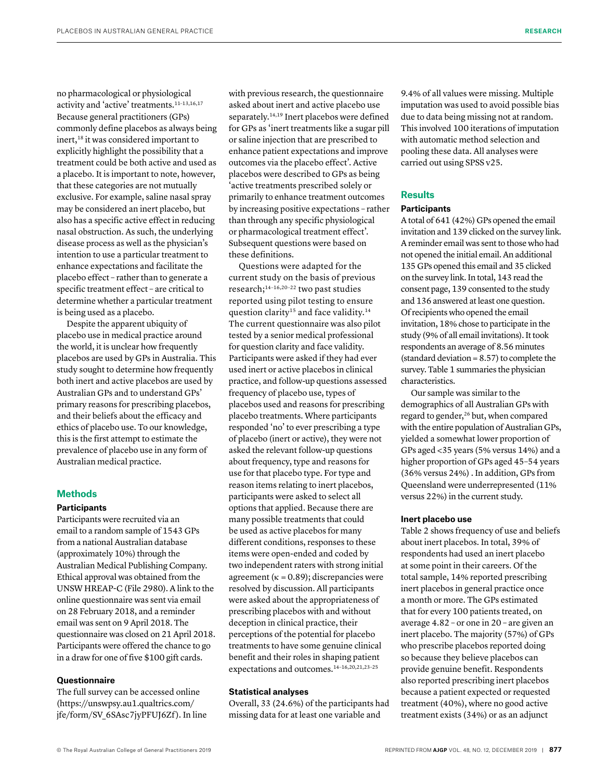no pharmacological or physiological activity and 'active' treatments.11–13,16,17 Because general practitioners (GPs) commonly define placebos as always being inert,<sup>18</sup> it was considered important to explicitly highlight the possibility that a treatment could be both active and used as a placebo. It is important to note, however, that these categories are not mutually exclusive. For example, saline nasal spray may be considered an inert placebo, but also has a specific active effect in reducing nasal obstruction. As such, the underlying disease process as well as the physician's intention to use a particular treatment to enhance expectations and facilitate the placebo effect – rather than to generate a specific treatment effect – are critical to determine whether a particular treatment is being used as a placebo.

Despite the apparent ubiquity of placebo use in medical practice around the world, it is unclear how frequently placebos are used by GPs in Australia. This study sought to determine how frequently both inert and active placebos are used by Australian GPs and to understand GPs' primary reasons for prescribing placebos, and their beliefs about the efficacy and ethics of placebo use. To our knowledge, this is the first attempt to estimate the prevalence of placebo use in any form of Australian medical practice.

## **Methods**

# **Participants**

Participants were recruited via an email to a random sample of 1543 GPs from a national Australian database (approximately 10%) through the Australian Medical Publishing Company. Ethical approval was obtained from the UNSW HREAP-C (File 2980). A link to the online questionnaire was sent via email on 28 February 2018, and a reminder email was sent on 9 April 2018. The questionnaire was closed on 21 April 2018. Participants were offered the chance to go in a draw for one of five \$100 gift cards.

# **Questionnaire**

The full survey can be accessed online (https://unswpsy.au1.qualtrics.com/ jfe/form/SV\_6SAsc7jyPFUJ6Zf). In line with previous research, the questionnaire asked about inert and active placebo use separately.<sup>14,19</sup> Inert placebos were defined for GPs as 'inert treatments like a sugar pill or saline injection that are prescribed to enhance patient expectations and improve outcomes via the placebo effect'. Active placebos were described to GPs as being 'active treatments prescribed solely or primarily to enhance treatment outcomes by increasing positive expectations – rather than through any specific physiological or pharmacological treatment effect'. Subsequent questions were based on these definitions.

Questions were adapted for the current study on the basis of previous research;14–16,20–22 two past studies reported using pilot testing to ensure question clarity<sup>15</sup> and face validity.<sup>14</sup> The current questionnaire was also pilot tested by a senior medical professional for question clarity and face validity. Participants were asked if they had ever used inert or active placebos in clinical practice, and follow-up questions assessed frequency of placebo use, types of placebos used and reasons for prescribing placebo treatments. Where participants responded 'no' to ever prescribing a type of placebo (inert or active), they were not asked the relevant follow-up questions about frequency, type and reasons for use for that placebo type. For type and reason items relating to inert placebos, participants were asked to select all options that applied. Because there are many possible treatments that could be used as active placebos for many different conditions, responses to these items were open-ended and coded by two independent raters with strong initial agreement ( $\kappa = 0.89$ ); discrepancies were resolved by discussion. All participants were asked about the appropriateness of prescribing placebos with and without deception in clinical practice, their perceptions of the potential for placebo treatments to have some genuine clinical benefit and their roles in shaping patient expectations and outcomes.14–16,20,21,23–25

## **Statistical analyses**

Overall, 33 (24.6%) of the participants had missing data for at least one variable and

9.4% of all values were missing. Multiple imputation was used to avoid possible bias due to data being missing not at random. This involved 100 iterations of imputation with automatic method selection and pooling these data. All analyses were carried out using SPSS v25.

# **Results**

#### **Participants**

A total of 641 (42%) GPs opened the email invitation and 139 clicked on the survey link. A reminder email was sent to those who had not opened the initial email. An additional 135 GPs opened this email and 35 clicked on the survey link. In total, 143 read the consent page, 139 consented to the study and 136 answered at least one question. Of recipients who opened the email invitation, 18% chose to participate in the study (9% of all email invitations). It took respondents an average of 8.56 minutes (standard deviation = 8.57) to complete the survey. Table 1 summaries the physician characteristics.

Our sample was similar to the demographics of all Australian GPs with regard to gender,<sup>26</sup> but, when compared with the entire population of Australian GPs, yielded a somewhat lower proportion of GPs aged <35 years (5% versus 14%) and a higher proportion of GPs aged 45–54 years (36% versus 24%) . In addition, GPs from Queensland were underrepresented (11% versus 22%) in the current study.

#### **Inert placebo use**

Table 2 shows frequency of use and beliefs about inert placebos. In total, 39% of respondents had used an inert placebo at some point in their careers. Of the total sample, 14% reported prescribing inert placebos in general practice once a month or more. The GPs estimated that for every 100 patients treated, on average 4.82 – or one in 20 – are given an inert placebo. The majority (57%) of GPs who prescribe placebos reported doing so because they believe placebos can provide genuine benefit. Respondents also reported prescribing inert placebos because a patient expected or requested treatment (40%), where no good active treatment exists (34%) or as an adjunct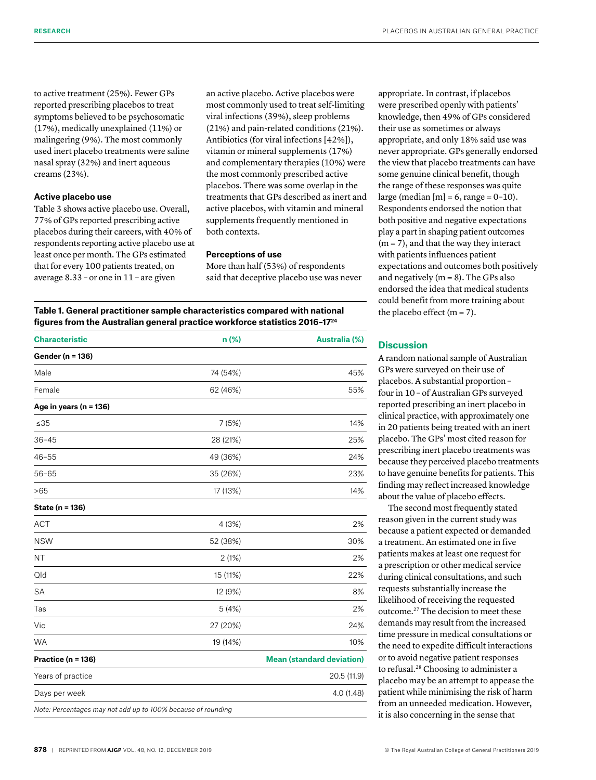to active treatment (25%). Fewer GPs reported prescribing placebos to treat symptoms believed to be psychosomatic (17%), medically unexplained (11%) or malingering (9%). The most commonly used inert placebo treatments were saline nasal spray (32%) and inert aqueous creams (23%).

## **Active placebo use**

Table 3 shows active placebo use. Overall, 77% of GPs reported prescribing active placebos during their careers, with 40% of respondents reporting active placebo use at least once per month. The GPs estimated that for every 100 patients treated, on average 8.33 – or one in 11 – are given

an active placebo. Active placebos were most commonly used to treat self-limiting viral infections (39%), sleep problems (21%) and pain-related conditions (21%). Antibiotics (for viral infections [42%]), vitamin or mineral supplements (17%) and complementary therapies (10%) were the most commonly prescribed active placebos. There was some overlap in the treatments that GPs described as inert and active placebos, with vitamin and mineral supplements frequently mentioned in both contexts.

# **Perceptions of use**

More than half (53%) of respondents said that deceptive placebo use was never

**Table 1. General practitioner sample characteristics compared with national figures from the Australian general practice workforce statistics 2016–1724**

| <b>Characteristic</b>                                        | $n$ (%)  | <b>Australia (%)</b>             |
|--------------------------------------------------------------|----------|----------------------------------|
| Gender (n = 136)                                             |          |                                  |
| Male                                                         | 74 (54%) | 45%                              |
| Female                                                       | 62 (46%) | 55%                              |
| Age in years ( $n = 136$ )                                   |          |                                  |
| ≤35                                                          | 7(5%)    | 14%                              |
| $36 - 45$                                                    | 28 (21%) | 25%                              |
| $46 - 55$                                                    | 49 (36%) | 24%                              |
| $56 - 65$                                                    | 35 (26%) | 23%                              |
| >65                                                          | 17 (13%) | 14%                              |
| State (n = 136)                                              |          |                                  |
| <b>ACT</b>                                                   | 4(3%)    | 2%                               |
| <b>NSW</b>                                                   | 52 (38%) | 30%                              |
| <b>NT</b>                                                    | 2(1%)    | 2%                               |
| Qld                                                          | 15 (11%) | 22%                              |
| <b>SA</b>                                                    | 12 (9%)  | 8%                               |
| Tas                                                          | 5(4%)    | 2%                               |
| Vic                                                          | 27 (20%) | 24%                              |
| <b>WA</b>                                                    | 19 (14%) | 10%                              |
| Practice (n = 136)                                           |          | <b>Mean (standard deviation)</b> |
| Years of practice                                            |          | 20.5 (11.9)                      |
| Days per week                                                |          | 4.0(1.48)                        |
| Note: Percentages may not add up to 100% because of rounding |          |                                  |

appropriate. In contrast, if placebos were prescribed openly with patients' knowledge, then 49% of GPs considered their use as sometimes or always appropriate, and only 18% said use was never appropriate. GPs generally endorsed the view that placebo treatments can have some genuine clinical benefit, though the range of these responses was quite large (median  $[m] = 6$ , range = 0-10). Respondents endorsed the notion that both positive and negative expectations play a part in shaping patient outcomes  $(m = 7)$ , and that the way they interact with patients influences patient expectations and outcomes both positively and negatively ( $m = 8$ ). The GPs also endorsed the idea that medical students could benefit from more training about the placebo effect  $(m = 7)$ .

## **Discussion**

A random national sample of Australian GPs were surveyed on their use of placebos. A substantial proportion – four in 10 – of Australian GPs surveyed reported prescribing an inert placebo in clinical practice, with approximately one in 20 patients being treated with an inert placebo. The GPs' most cited reason for prescribing inert placebo treatments was because they perceived placebo treatments to have genuine benefits for patients. This finding may reflect increased knowledge about the value of placebo effects.

The second most frequently stated reason given in the current study was because a patient expected or demanded a treatment. An estimated one in five patients makes at least one request for a prescription or other medical service during clinical consultations, and such requests substantially increase the likelihood of receiving the requested outcome.27 The decision to meet these demands may result from the increased time pressure in medical consultations or the need to expedite difficult interactions or to avoid negative patient responses to refusal.28 Choosing to administer a placebo may be an attempt to appease the patient while minimising the risk of harm from an unneeded medication. However, it is also concerning in the sense that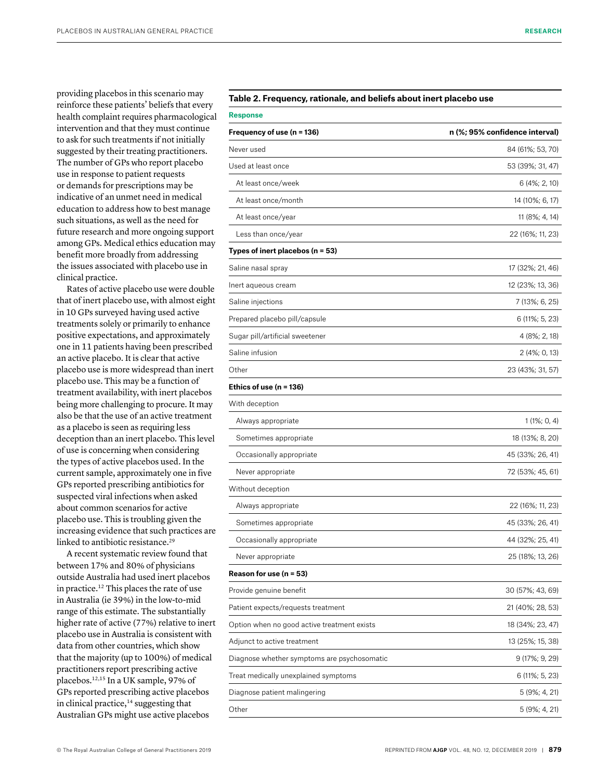providing placebos in this scenario may reinforce these patients' beliefs that every health complaint requires pharmacological intervention and that they must continue to ask for such treatments if not initially suggested by their treating practitioners. The number of GPs who report placebo use in response to patient requests or demands for prescriptions may be indicative of an unmet need in medical education to address how to best manage such situations, as well as the need for future research and more ongoing support among GPs. Medical ethics education may benefit more broadly from addressing the issues associated with placebo use in clinical practice.

Rates of active placebo use were double that of inert placebo use, with almost eight in 10 GPs surveyed having used active treatments solely or primarily to enhance positive expectations, and approximately one in 11 patients having been prescribed an active placebo. It is clear that active placebo use is more widespread than inert placebo use. This may be a function of treatment availability, with inert placebos being more challenging to procure. It may also be that the use of an active treatment as a placebo is seen as requiring less deception than an inert placebo. This level of use is concerning when considering the types of active placebos used. In the current sample, approximately one in five GPs reported prescribing antibiotics for suspected viral infections when asked about common scenarios for active placebo use. This is troubling given the increasing evidence that such practices are linked to antibiotic resistance.<sup>29</sup>

A recent systematic review found that between 17% and 80% of physicians outside Australia had used inert placebos in practice.12 This places the rate of use in Australia (ie 39%) in the low-to-mid range of this estimate. The substantially higher rate of active (77%) relative to inert placebo use in Australia is consistent with data from other countries, which show that the majority (up to 100%) of medical practitioners report prescribing active placebos.12,15 In a UK sample, 97% of GPs reported prescribing active placebos in clinical practice,<sup>14</sup> suggesting that Australian GPs might use active placebos

# Table 2. Frequency, rationale, and beliefs about inert placebo use

| Response                                    |                                |  |
|---------------------------------------------|--------------------------------|--|
| Frequency of use (n = 136)                  | n (%; 95% confidence interval) |  |
| Never used                                  | 84 (61%; 53, 70)               |  |
| Used at least once                          | 53 (39%; 31, 47)               |  |
| At least once/week                          | 6 (4%; 2, 10)                  |  |
| At least once/month                         | 14 (10%; 6, 17)                |  |
| At least once/year                          | 11 (8%; 4, 14)                 |  |
| Less than once/year                         | 22 (16%; 11, 23)               |  |
| Types of inert placebos (n = 53)            |                                |  |
| Saline nasal spray                          | 17 (32%; 21, 46)               |  |
| Inert aqueous cream                         | 12 (23%; 13, 36)               |  |
| Saline injections                           | 7 (13%; 6, 25)                 |  |
| Prepared placebo pill/capsule               | 6 (11%; 5, 23)                 |  |
| Sugar pill/artificial sweetener             | 4 (8%; 2, 18)                  |  |
| Saline infusion                             | 2 (4%; 0, 13)                  |  |
| Other                                       | 23 (43%; 31, 57)               |  |
| Ethics of use $(n = 136)$                   |                                |  |
| With deception                              |                                |  |
| Always appropriate                          | 1 (1%; 0, 4)                   |  |
| Sometimes appropriate                       | 18 (13%; 8, 20)                |  |
| Occasionally appropriate                    | 45 (33%; 26, 41)               |  |
| Never appropriate                           | 72 (53%; 45, 61)               |  |
| Without deception                           |                                |  |
| Always appropriate                          | 22 (16%; 11, 23)               |  |
| Sometimes appropriate                       | 45 (33%; 26, 41)               |  |
| Occasionally appropriate                    | 44 (32%; 25, 41)               |  |
| Never appropriate                           | 25 (18%; 13, 26)               |  |
| Reason for use $(n = 53)$                   |                                |  |
| Provide genuine benefit                     | 30 (57%; 43, 69)               |  |
| Patient expects/requests treatment          | 21 (40%; 28, 53)               |  |
| Option when no good active treatment exists | 18 (34%; 23, 47)               |  |
| Adjunct to active treatment                 | 13 (25%; 15, 38)               |  |
| Diagnose whether symptoms are psychosomatic | 9 (17%; 9, 29)                 |  |
| Treat medically unexplained symptoms        | 6 (11%; 5, 23)                 |  |
| Diagnose patient malingering                | 5 (9%; 4, 21)                  |  |
| Other                                       | 5 (9%; 4, 21)                  |  |
|                                             |                                |  |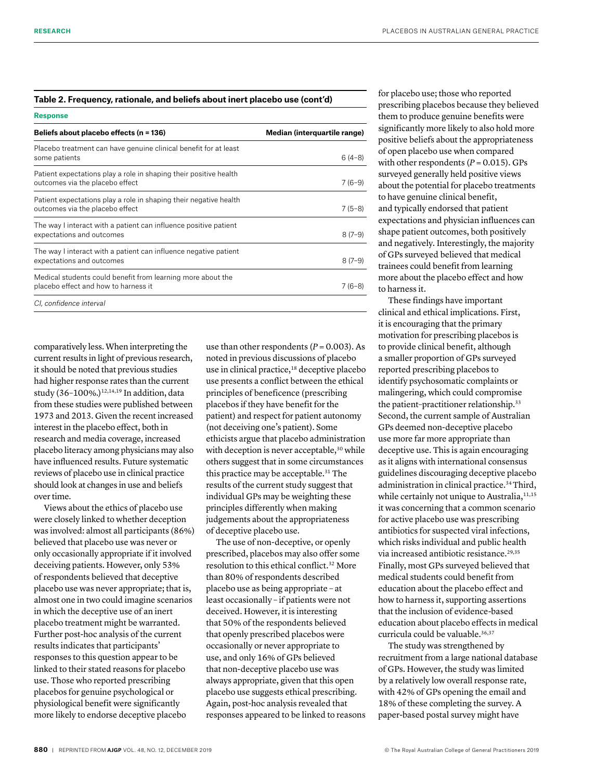## **Table 2. Frequency, rationale, and beliefs about inert placebo use (cont'd)**

| <b>Response</b>                                                                                      |                              |
|------------------------------------------------------------------------------------------------------|------------------------------|
| Beliefs about placebo effects (n = 136)                                                              | Median (interquartile range) |
| Placebo treatment can have genuine clinical benefit for at least<br>some patients                    | $6(4-8)$                     |
| Patient expectations play a role in shaping their positive health<br>outcomes via the placebo effect | $7(6-9)$                     |
| Patient expectations play a role in shaping their negative health<br>outcomes via the placebo effect | $7(5-8)$                     |
| The way I interact with a patient can influence positive patient<br>expectations and outcomes        | $8(7-9)$                     |
| The way I interact with a patient can influence negative patient<br>expectations and outcomes        | $8(7-9)$                     |
| Medical students could benefit from learning more about the<br>placebo effect and how to harness it  | $7(6-8)$                     |
| CI, confidence interval                                                                              |                              |

comparatively less. When interpreting the current results in light of previous research, it should be noted that previous studies had higher response rates than the current study (36-100%.)<sup>12,14,19</sup> In addition, data from these studies were published between 1973 and 2013. Given the recent increased interest in the placebo effect, both in research and media coverage, increased placebo literacy among physicians may also have influenced results. Future systematic reviews of placebo use in clinical practice should look at changes in use and beliefs over time.

Views about the ethics of placebo use were closely linked to whether deception was involved: almost all participants (86%) believed that placebo use was never or only occasionally appropriate if it involved deceiving patients. However, only 53% of respondents believed that deceptive placebo use was never appropriate; that is, almost one in two could imagine scenarios in which the deceptive use of an inert placebo treatment might be warranted. Further post-hoc analysis of the current results indicates that participants' responses to this question appear to be linked to their stated reasons for placebo use. Those who reported prescribing placebos for genuine psychological or physiological benefit were significantly more likely to endorse deceptive placebo

use than other respondents  $(P = 0.003)$ . As noted in previous discussions of placebo use in clinical practice,<sup>18</sup> deceptive placebo use presents a conflict between the ethical principles of beneficence (prescribing placebos if they have benefit for the patient) and respect for patient autonomy (not deceiving one's patient). Some ethicists argue that placebo administration with deception is never acceptable,<sup>30</sup> while others suggest that in some circumstances this practice may be acceptable.<sup>31</sup> The results of the current study suggest that individual GPs may be weighting these principles differently when making judgements about the appropriateness of deceptive placebo use.

The use of non-deceptive, or openly prescribed, placebos may also offer some resolution to this ethical conflict.32 More than 80% of respondents described placebo use as being appropriate – at least occasionally – if patients were not deceived. However, it is interesting that 50% of the respondents believed that openly prescribed placebos were occasionally or never appropriate to use, and only 16% of GPs believed that non-deceptive placebo use was always appropriate, given that this open placebo use suggests ethical prescribing. Again, post-hoc analysis revealed that responses appeared to be linked to reasons for placebo use; those who reported prescribing placebos because they believed them to produce genuine benefits were significantly more likely to also hold more positive beliefs about the appropriateness of open placebo use when compared with other respondents  $(P = 0.015)$ . GPs surveyed generally held positive views about the potential for placebo treatments to have genuine clinical benefit, and typically endorsed that patient expectations and physician influences can shape patient outcomes, both positively and negatively. Interestingly, the majority of GPs surveyed believed that medical trainees could benefit from learning more about the placebo effect and how to harness it.

These findings have important clinical and ethical implications. First, it is encouraging that the primary motivation for prescribing placebos is to provide clinical benefit, although a smaller proportion of GPs surveyed reported prescribing placebos to identify psychosomatic complaints or malingering, which could compromise the patient-practitioner relationship.<sup>33</sup> Second, the current sample of Australian GPs deemed non-deceptive placebo use more far more appropriate than deceptive use. This is again encouraging as it aligns with international consensus guidelines discouraging deceptive placebo administration in clinical practice.<sup>34</sup> Third, while certainly not unique to Australia, 11,15 it was concerning that a common scenario for active placebo use was prescribing antibiotics for suspected viral infections, which risks individual and public health via increased antibiotic resistance.<sup>29,35</sup> Finally, most GPs surveyed believed that medical students could benefit from education about the placebo effect and how to harness it, supporting assertions that the inclusion of evidence-based education about placebo effects in medical curricula could be valuable.<sup>36,37</sup>

The study was strengthened by recruitment from a large national database of GPs. However, the study was limited by a relatively low overall response rate, with 42% of GPs opening the email and 18% of these completing the survey. A paper-based postal survey might have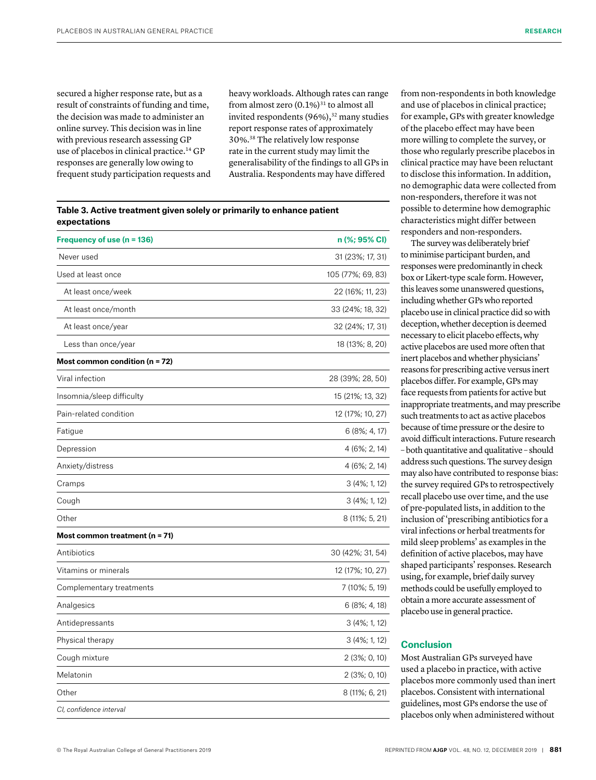secured a higher response rate, but as a result of constraints of funding and time, the decision was made to administer an online survey. This decision was in line with previous research assessing GP use of placebos in clinical practice.14 GP responses are generally low owing to frequent study participation requests and heavy workloads. Although rates can range from almost zero  $(0.1\%)$ <sup>31</sup> to almost all invited respondents  $(96\%)$ ,<sup>32</sup> many studies report response rates of approximately 30%.38 The relatively low response rate in the current study may limit the generalisability of the findings to all GPs in Australia. Respondents may have differed

**Table 3. Active treatment given solely or primarily to enhance patient expectations**

| Frequency of use (n = 136)         | n (%; 95% CI)     |
|------------------------------------|-------------------|
| Never used                         | 31 (23%; 17, 31)  |
| Used at least once                 | 105 (77%; 69, 83) |
| At least once/week                 | 22 (16%; 11, 23)  |
| At least once/month                | 33 (24%; 18, 32)  |
| At least once/year                 | 32 (24%; 17, 31)  |
| Less than once/year                | 18 (13%; 8, 20)   |
| Most common condition ( $n = 72$ ) |                   |
| Viral infection                    | 28 (39%; 28, 50)  |
| Insomnia/sleep difficulty          | 15 (21%; 13, 32)  |
| Pain-related condition             | 12 (17%; 10, 27)  |
| Fatigue                            | $6(8\%; 4, 17)$   |
| Depression                         | 4 (6%; 2, 14)     |
| Anxiety/distress                   | 4 (6%; 2, 14)     |
| Cramps                             | 3 (4%; 1, 12)     |
| Cough                              | 3 (4%; 1, 12)     |
| Other                              | 8 (11%; 5, 21)    |
| Most common treatment (n = 71)     |                   |
| Antibiotics                        | 30 (42%; 31, 54)  |
| Vitamins or minerals               | 12 (17%; 10, 27)  |
| Complementary treatments           | 7 (10%; 5, 19)    |
| Analgesics                         | $6(8\%; 4, 18)$   |
| Antidepressants                    | 3 (4%; 1, 12)     |
| Physical therapy                   | $3(4\%; 1, 12)$   |
| Cough mixture                      | $2(3\%; 0, 10)$   |
| Melatonin                          | $2(3\%; 0, 10)$   |
| Other                              | 8 (11%; 6, 21)    |
| CI, confidence interval            |                   |

from non-respondents in both knowledge and use of placebos in clinical practice; for example, GPs with greater knowledge of the placebo effect may have been more willing to complete the survey, or those who regularly prescribe placebos in clinical practice may have been reluctant to disclose this information. In addition, no demographic data were collected from non-responders, therefore it was not possible to determine how demographic characteristics might differ between responders and non-responders.

The survey was deliberately brief to minimise participant burden, and responses were predominantly in check box or Likert-type scale form. However, this leaves some unanswered questions, including whether GPs who reported placebo use in clinical practice did so with deception, whether deception is deemed necessary to elicit placebo effects, why active placebos are used more often that inert placebos and whether physicians' reasons for prescribing active versus inert placebos differ. For example, GPs may face requests from patients for active but inappropriate treatments, and may prescribe such treatments to act as active placebos because of time pressure or the desire to avoid difficult interactions. Future research – both quantitative and qualitative – should address such questions. The survey design may also have contributed to response bias: the survey required GPs to retrospectively recall placebo use over time, and the use of pre-populated lists, in addition to the inclusion of 'prescribing antibiotics for a viral infections or herbal treatments for mild sleep problems' as examples in the definition of active placebos, may have shaped participants' responses. Research using, for example, brief daily survey methods could be usefully employed to obtain a more accurate assessment of placebo use in general practice.

# **Conclusion**

Most Australian GPs surveyed have used a placebo in practice, with active placebos more commonly used than inert placebos. Consistent with international guidelines, most GPs endorse the use of placebos only when administered without